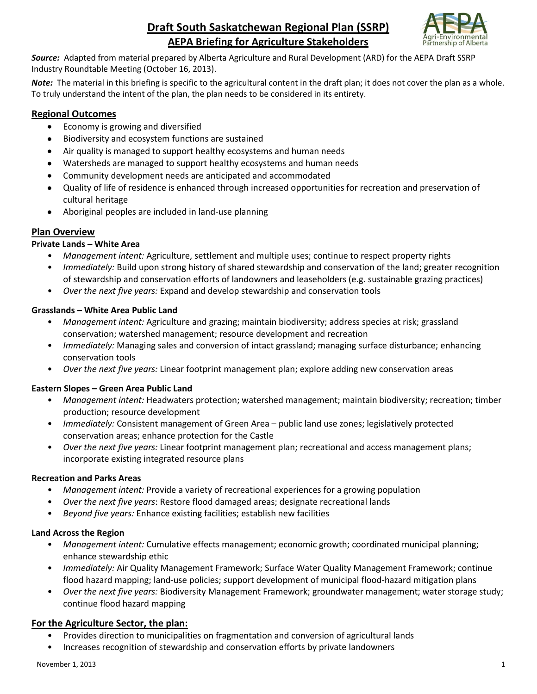# **Draft South Saskatchewan Regional Plan (SSRP) AEPA Briefing for Agriculture Stakeholders**



*Source:* Adapted from material prepared by Alberta Agriculture and Rural Development (ARD) for the AEPA Draft SSRP Industry Roundtable Meeting (October 16, 2013).

*Note:* The material in this briefing is specific to the agricultural content in the draft plan; it does not cover the plan as a whole. To truly understand the intent of the plan, the plan needs to be considered in its entirety.

## **Regional Outcomes**

- $\bullet$ Economy is growing and diversified
- Biodiversity and ecosystem functions are sustained
- Air quality is managed to support healthy ecosystems and human needs
- Watersheds are managed to support healthy ecosystems and human needs
- Community development needs are anticipated and accommodated
- Quality of life of residence is enhanced through increased opportunities for recreation and preservation of cultural heritage
- Aboriginal peoples are included in land-use planning  $\bullet$

## **Plan Overview**

## **Private Lands – White Area**

- *Management intent:* Agriculture, settlement and multiple uses; continue to respect property rights
- *Immediately:* Build upon strong history of shared stewardship and conservation of the land; greater recognition of stewardship and conservation efforts of landowners and leaseholders (e.g. sustainable grazing practices)
- *Over the next five years:* Expand and develop stewardship and conservation tools

## **Grasslands – White Area Public Land**

- *Management intent:* Agriculture and grazing; maintain biodiversity; address species at risk; grassland conservation; watershed management; resource development and recreation
- *Immediately:* Managing sales and conversion of intact grassland; managing surface disturbance; enhancing conservation tools
- *Over the next five years:* Linear footprint management plan; explore adding new conservation areas

## **Eastern Slopes – Green Area Public Land**

- *Management intent:* Headwaters protection; watershed management; maintain biodiversity; recreation; timber production; resource development
- *Immediately:* Consistent management of Green Area public land use zones; legislatively protected conservation areas; enhance protection for the Castle
- *Over the next five years:* Linear footprint management plan; recreational and access management plans; incorporate existing integrated resource plans

#### **Recreation and Parks Areas**

- *Management intent:* Provide a variety of recreational experiences for a growing population
- *Over the next five years*: Restore flood damaged areas; designate recreational lands
- *Beyond five years:* Enhance existing facilities; establish new facilities

#### **Land Across the Region**

- *Management intent:* Cumulative effects management; economic growth; coordinated municipal planning; enhance stewardship ethic
- *Immediately:* Air Quality Management Framework; Surface Water Quality Management Framework; continue flood hazard mapping; land-use policies; *s*upport development of municipal flood-hazard mitigation plans
- *Over the next five years:* Biodiversity Management Framework; groundwater management; water storage study; continue flood hazard mapping

## **For the Agriculture Sector, the plan:**

- Provides direction to municipalities on fragmentation and conversion of agricultural lands
- Increases recognition of stewardship and conservation efforts by private landowners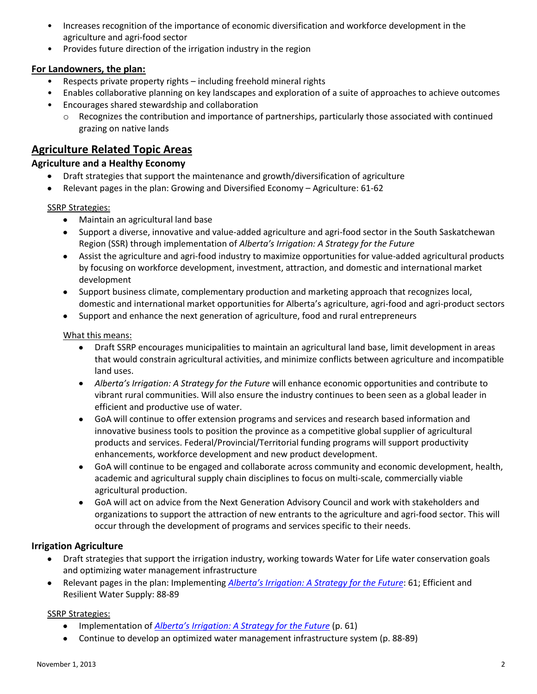- Increases recognition of the importance of economic diversification and workforce development in the agriculture and agri-food sector
- Provides future direction of the irrigation industry in the region

## **For Landowners, the plan:**

- Respects private property rights including freehold mineral rights
- Enables collaborative planning on key landscapes and exploration of a suite of approaches to achieve outcomes
- Encourages shared stewardship and collaboration
	- $\circ$  Recognizes the contribution and importance of partnerships, particularly those associated with continued grazing on native lands

# **Agriculture Related Topic Areas**

## **Agriculture and a Healthy Economy**

- Draft strategies that support the maintenance and growth/diversification of agriculture
- Relevant pages in the plan: Growing and Diversified Economy Agriculture: 61-62

## SSRP Strategies:

- Maintain an agricultural land base
- Support a diverse, innovative and value-added agriculture and agri-food sector in the South Saskatchewan Region (SSR) through implementation of *Alberta's Irrigation: A Strategy for the Future*
- Assist the agriculture and agri-food industry to maximize opportunities for value-added agricultural products by focusing on workforce development, investment, attraction, and domestic and international market development
- Support business climate, complementary production and marketing approach that recognizes local, domestic and international market opportunities for Alberta's agriculture, agri-food and agri-product sectors
- Support and enhance the next generation of agriculture, food and rural entrepreneurs

## What this means:

- Draft SSRP encourages municipalities to maintain an agricultural land base, limit development in areas that would constrain agricultural activities, and minimize conflicts between agriculture and incompatible land uses.
- *Alberta's Irrigation: A Strategy for the Future* will enhance economic opportunities and contribute to vibrant rural communities. Will also ensure the industry continues to been seen as a global leader in efficient and productive use of water.
- GoA will continue to offer extension programs and services and research based information and innovative business tools to position the province as a competitive global supplier of agricultural products and services. Federal/Provincial/Territorial funding programs will support productivity enhancements, workforce development and new product development.
- GoA will continue to be engaged and collaborate across community and economic development, health, academic and agricultural supply chain disciplines to focus on multi-scale, commercially viable agricultural production.
- GoA will act on advice from the Next Generation Advisory Council and work with stakeholders and organizations to support the attraction of new entrants to the agriculture and agri-food sector. This will occur through the development of programs and services specific to their needs.

## **Irrigation Agriculture**

- Draft strategies that support the irrigation industry, working towards Water for Life water conservation goals and optimizing water management infrastructure
- Relevant pages in the plan: Implementing *[Alberta's Irrigation: A Strategy for the Future](http://www.agriculture.alberta.ca/irrigation)*: 61; Efficient and Resilient Water Supply: 88-89

## SSRP Strategies:

- Implementation of *Alberta's Irriga[tion: A Strategy for the Future](http://www.agriculture.alberta.ca/irrigation)* (p. 61)
- Continue to develop an optimized water management infrastructure system (p. 88-89)  $\bullet$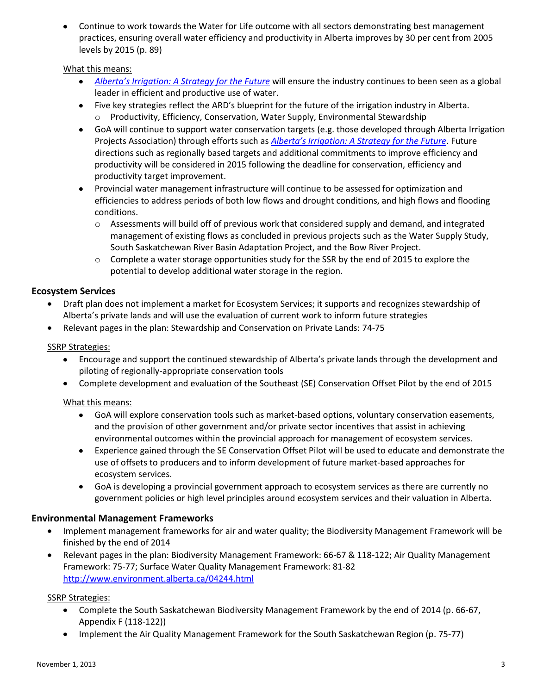Continue to work towards the Water for Life outcome with all sectors demonstrating best management practices, ensuring overall water efficiency and productivity in Alberta improves by 30 per cent from 2005 levels by 2015 (p. 89)

#### What this means:

- *Alberta's Irrig[ation: A Strategy for the Future](http://www.agriculture.alberta.ca/irrigation)* will ensure the industry continues to been seen as a global leader in efficient and productive use of water.
- Five key strategies reflect the ARD's blueprint for the future of the irrigation industry in Alberta. o Productivity, Efficiency, Conservation, Water Supply, Environmental Stewardship
- GoA will continue to support water conservation targets (e.g. those developed through Alberta Irrigation Projects Association) through efforts such as *[Alberta's Irrigation: A Strategy for the Future](http://www.agriculture.alberta.ca/irrigation)*. Future directions such as regionally based targets and additional commitments to improve efficiency and productivity will be considered in 2015 following the deadline for conservation, efficiency and productivity target improvement.
- Provincial water management infrastructure will continue to be assessed for optimization and efficiencies to address periods of both low flows and drought conditions, and high flows and flooding conditions.
	- $\circ$  Assessments will build off of previous work that considered supply and demand, and integrated management of existing flows as concluded in previous projects such as the Water Supply Study, South Saskatchewan River Basin Adaptation Project, and the Bow River Project.
	- $\circ$  Complete a water storage opportunities study for the SSR by the end of 2015 to explore the potential to develop additional water storage in the region.

#### **Ecosystem Services**

- Draft plan does not implement a market for Ecosystem Services; it supports and recognizes stewardship of Alberta's private lands and will use the evaluation of current work to inform future strategies
- Relevant pages in the plan: Stewardship and Conservation on Private Lands: 74-75

#### SSRP Strategies:

- Encourage and support the continued stewardship of Alberta's private lands through the development and piloting of regionally-appropriate conservation tools
- Complete development and evaluation of the Southeast (SE) Conservation Offset Pilot by the end of 2015

#### What this means:

- GoA will explore conservation tools such as market-based options, voluntary conservation easements, and the provision of other government and/or private sector incentives that assist in achieving environmental outcomes within the provincial approach for management of ecosystem services.
- Experience gained through the SE Conservation Offset Pilot will be used to educate and demonstrate the use of offsets to producers and to inform development of future market-based approaches for ecosystem services.
- GoA is developing a provincial government approach to ecosystem services as there are currently no government policies or high level principles around ecosystem services and their valuation in Alberta.

#### **Environmental Management Frameworks**

- Implement management frameworks for air and water quality; the Biodiversity Management Framework will be  $\bullet$ finished by the end of 2014
- Relevant pages in the plan: Biodiversity Management Framework: 66-67 & 118-122; Air Quality Management  $\bullet$ Framework: 75-77; Surface Water Quality Management Framework: 81-82 <http://www.environment.alberta.ca/04244.html>

#### SSRP Strategies:

- Complete the South Saskatchewan Biodiversity Management Framework by the end of 2014 (p. 66-67, Appendix F (118-122))
- Implement the Air Quality Management Framework for the South Saskatchewan Region (p. 75-77)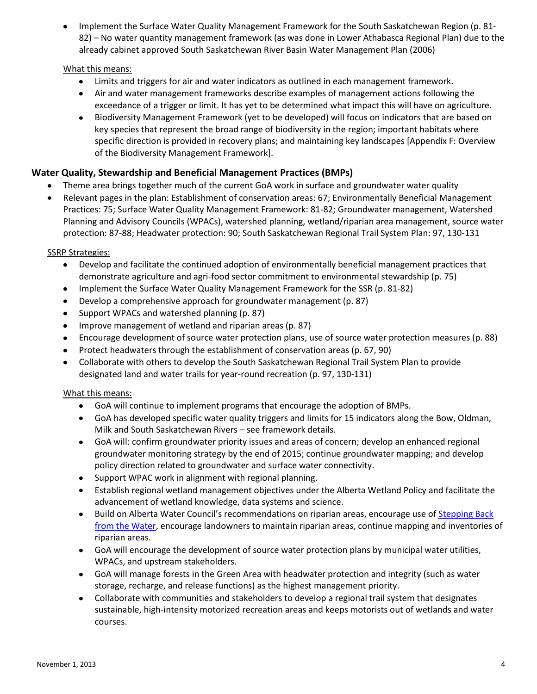Implement the Surface Water Quality Management Framework for the South Saskatchewan Region (p. 81- 82) – No water quantity management framework (as was done in Lower Athabasca Regional Plan) due to the already cabinet approved South Saskatchewan River Basin Water Management Plan (2006)

#### What this means:

- Limits and triggers for air and water indicators as outlined in each management framework.
- Air and water management frameworks describe examples of management actions following the exceedance of a trigger or limit. It has yet to be determined what impact this will have on agriculture.
- Biodiversity Management Framework (yet to be developed) will focus on indicators that are based on  $\bullet$ key species that represent the broad range of biodiversity in the region; important habitats where specific direction is provided in recovery plans; and maintaining key landscapes [Appendix F: Overview of the Biodiversity Management Framework].

## **Water Quality, Stewardship and Beneficial Management Practices (BMPs)**

- Theme area brings together much of the current GoA work in surface and groundwater water quality
- $\bullet$ Relevant pages in the plan: Establishment of conservation areas: 67; Environmentally Beneficial Management Practices: 75; Surface Water Quality Management Framework: 81-82; Groundwater management, Watershed Planning and Advisory Councils (WPACs), watershed planning, wetland/riparian area management, source water protection: 87-88; Headwater protection: 90; South Saskatchewan Regional Trail System Plan: 97, 130-131

## SSRP Strategies:

- Develop and facilitate the continued adoption of environmentally beneficial management practices that demonstrate agriculture and agri-food sector commitment to environmental stewardship (p. 75)
- Implement the Surface Water Quality Management Framework for the SSR (p. 81-82)
- $\bullet$ Develop a comprehensive approach for groundwater management (p. 87)
- Support WPACs and watershed planning (p. 87)  $\bullet$
- Improve management of wetland and riparian areas (p. 87)  $\bullet$
- Encourage development of source water protection plans, use of source water protection measures (p. 88)  $\bullet$
- Protect headwaters through the establishment of conservation areas (p. 67, 90)
- Collaborate with others to develop the South Saskatchewan Regional Trail System Plan to provide  $\bullet$ designated land and water trails for year-round recreation (p. 97, 130-131)

#### What this means:

- GoA will continue to implement programs that encourage the adoption of BMPs.
- GoA has developed specific water quality triggers and limits for 15 indicators along the Bow, Oldman, Milk and South Saskatchewan Rivers – see framework details.
- GoA will: confirm groundwater priority issues and areas of concern; develop an enhanced regional groundwater monitoring strategy by the end of 2015; continue groundwater mapping; and develop policy direction related to groundwater and surface water connectivity.
- Support WPAC work in alignment with regional planning.
- Establish regional wetland management objectives under the Alberta Wetland Policy and facilitate the advancement of wetland knowledge, data systems and science.
- Build on Alberta Water Council's recommendations on riparian areas, encourage use of Stepping Back [from the Water,](http://environment.gov.ab.ca/info/library/8554.pdf) encourage landowners to maintain riparian areas, continue mapping and inventories of riparian areas.
- GoA will encourage the development of source water protection plans by municipal water utilities, WPACs, and upstream stakeholders.
- GoA will manage forests in the Green Area with headwater protection and integrity (such as water storage, recharge, and release functions) as the highest management priority.
- Collaborate with communities and stakeholders to develop a regional trail system that designates sustainable, high-intensity motorized recreation areas and keeps motorists out of wetlands and water courses.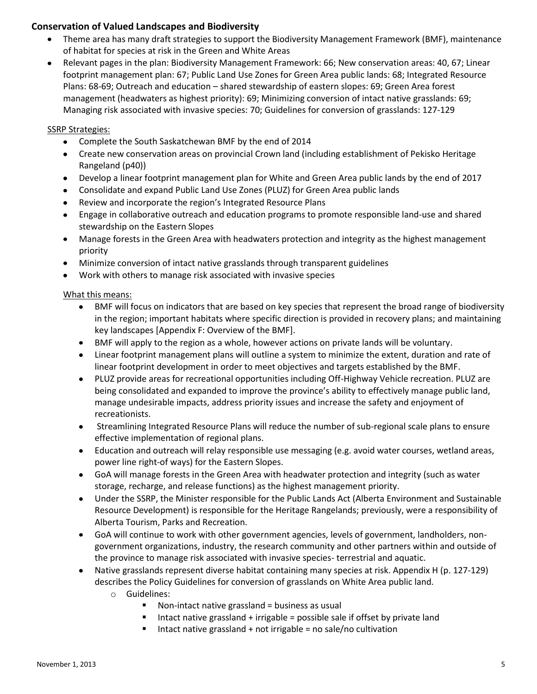## **Conservation of Valued Landscapes and Biodiversity**

- Theme area has many draft strategies to support the Biodiversity Management Framework (BMF), maintenance of habitat for species at risk in the Green and White Areas
- Relevant pages in the plan: Biodiversity Management Framework: 66; New conservation areas: 40, 67; Linear  $\bullet$ footprint management plan: 67; Public Land Use Zones for Green Area public lands: 68; Integrated Resource Plans: 68-69; Outreach and education – shared stewardship of eastern slopes: 69; Green Area forest management (headwaters as highest priority): 69; Minimizing conversion of intact native grasslands: 69; Managing risk associated with invasive species: 70; Guidelines for conversion of grasslands: 127-129

## SSRP Strategies:

- Complete the South Saskatchewan BMF by the end of 2014
- Create new conservation areas on provincial Crown land (including establishment of Pekisko Heritage Rangeland (p40))
- Develop a linear footprint management plan for White and Green Area public lands by the end of 2017
- Consolidate and expand Public Land Use Zones (PLUZ) for Green Area public lands  $\bullet$
- Review and incorporate the region's Integrated Resource Plans  $\bullet$
- Engage in collaborative outreach and education programs to promote responsible land-use and shared  $\bullet$ stewardship on the Eastern Slopes
- Manage forests in the Green Area with headwaters protection and integrity as the highest management priority
- Minimize conversion of intact native grasslands through transparent guidelines
- Work with others to manage risk associated with invasive species

#### What this means:

- BMF will focus on indicators that are based on key species that represent the broad range of biodiversity  $\bullet$ in the region; important habitats where specific direction is provided in recovery plans; and maintaining key landscapes [Appendix F: Overview of the BMF].
- BMF will apply to the region as a whole, however actions on private lands will be voluntary.
- Linear footprint management plans will outline a system to minimize the extent, duration and rate of linear footprint development in order to meet objectives and targets established by the BMF.
- PLUZ provide areas for recreational opportunities including Off-Highway Vehicle recreation. PLUZ are being consolidated and expanded to improve the province's ability to effectively manage public land, manage undesirable impacts, address priority issues and increase the safety and enjoyment of recreationists.
- Streamlining Integrated Resource Plans will reduce the number of sub-regional scale plans to ensure  $\bullet$ effective implementation of regional plans.
- Education and outreach will relay responsible use messaging (e.g. avoid water courses, wetland areas, power line right-of ways) for the Eastern Slopes.
- GoA will manage forests in the Green Area with headwater protection and integrity (such as water storage, recharge, and release functions) as the highest management priority.
- Under the SSRP, the Minister responsible for the Public Lands Act (Alberta Environment and Sustainable Resource Development) is responsible for the Heritage Rangelands; previously, were a responsibility of Alberta Tourism, Parks and Recreation.
- GoA will continue to work with other government agencies, levels of government, landholders, nongovernment organizations, industry, the research community and other partners within and outside of the province to manage risk associated with invasive species- terrestrial and aquatic.
- Native grasslands represent diverse habitat containing many species at risk. Appendix H (p. 127-129) describes the Policy Guidelines for conversion of grasslands on White Area public land.
	- o Guidelines:
		- $\blacksquare$  Non-intact native grassland = business as usual
		- Intact native grassland + irrigable = possible sale if offset by private land
		- Intact native grassland  $+$  not irrigable = no sale/no cultivation